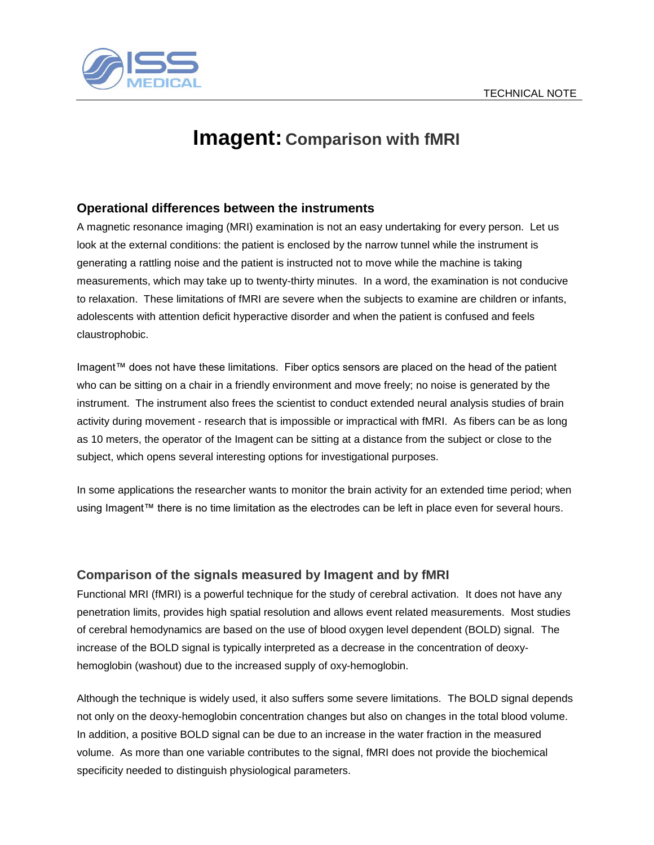

## **Imagent: Comparison with fMRI**

### **Operational differences between the instruments**

A magnetic resonance imaging (MRI) examination is not an easy undertaking for every person. Let us look at the external conditions: the patient is enclosed by the narrow tunnel while the instrument is generating a rattling noise and the patient is instructed not to move while the machine is taking measurements, which may take up to twenty-thirty minutes. In a word, the examination is not conducive to relaxation. These limitations of fMRI are severe when the subjects to examine are children or infants, adolescents with attention deficit hyperactive disorder and when the patient is confused and feels claustrophobic.

Imagent™ does not have these limitations. Fiber optics sensors are placed on the head of the patient who can be sitting on a chair in a friendly environment and move freely; no noise is generated by the instrument. The instrument also frees the scientist to conduct extended neural analysis studies of brain activity during movement - research that is impossible or impractical with fMRI. As fibers can be as long as 10 meters, the operator of the Imagent can be sitting at a distance from the subject or close to the subject, which opens several interesting options for investigational purposes.

In some applications the researcher wants to monitor the brain activity for an extended time period; when using Imagent™ there is no time limitation as the electrodes can be left in place even for several hours.

#### **Comparison of the signals measured by Imagent and by fMRI**

Functional MRI (fMRI) is a powerful technique for the study of cerebral activation. It does not have any penetration limits, provides high spatial resolution and allows event related measurements. Most studies of cerebral hemodynamics are based on the use of blood oxygen level dependent (BOLD) signal. The increase of the BOLD signal is typically interpreted as a decrease in the concentration of deoxyhemoglobin (washout) due to the increased supply of oxy-hemoglobin.

Although the technique is widely used, it also suffers some severe limitations. The BOLD signal depends not only on the deoxy-hemoglobin concentration changes but also on changes in the total blood volume. In addition, a positive BOLD signal can be due to an increase in the water fraction in the measured volume. As more than one variable contributes to the signal, fMRI does not provide the biochemical specificity needed to distinguish physiological parameters.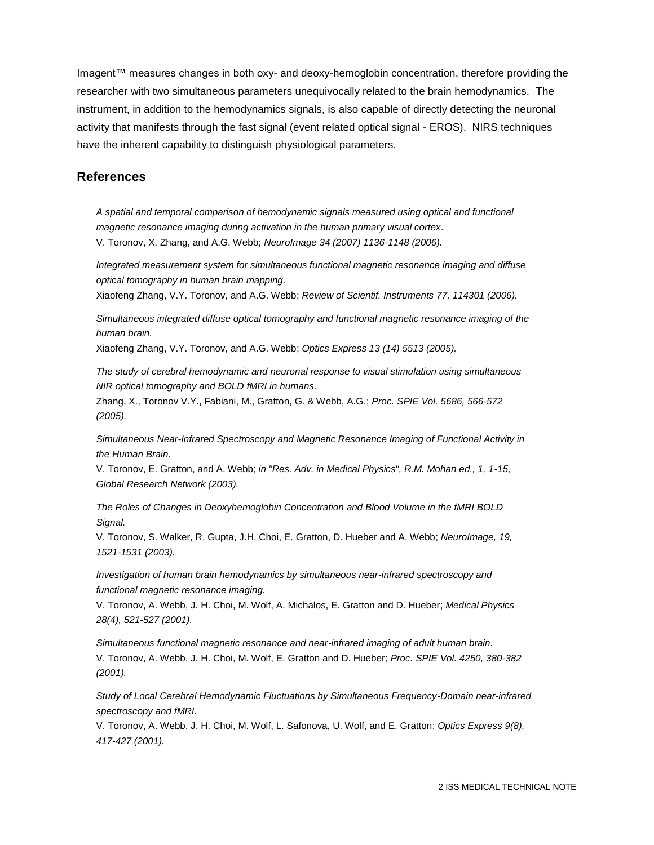Imagent™ measures changes in both oxy- and deoxy-hemoglobin concentration, therefore providing the researcher with two simultaneous parameters unequivocally related to the brain hemodynamics. The instrument, in addition to the hemodynamics signals, is also capable of directly detecting the neuronal activity that manifests through the fast signal (event related optical signal - EROS). NIRS techniques have the inherent capability to distinguish physiological parameters.

#### **References**

*A spatial and temporal comparison of hemodynamic signals measured using optical and functional magnetic resonance imaging during activation in the human primary visual cortex*. V. Toronov, X. Zhang, and A.G. Webb; *NeuroImage 34 (2007) 1136-1148 (2006).*

*Integrated measurement system for simultaneous functional magnetic resonance imaging and diffuse optical tomography in human brain mapping.*

Xiaofeng Zhang, V.Y. Toronov, and A.G. Webb; *Review of Scientif. Instruments 77, 114301 (2006).*

*Simultaneous integrated diffuse optical tomography and functional magnetic resonance imaging of the human brain.*

Xiaofeng Zhang, V.Y. Toronov, and A.G. Webb; *Optics Express 13 (14) 5513 (2005).*

*The study of cerebral hemodynamic and neuronal response to visual stimulation using simultaneous NIR optical tomography and BOLD fMRI in humans.*

Zhang, X., Toronov V.Y., Fabiani, M., Gratton, G. & Webb, A.G.; *Proc. SPIE Vol. 5686, 566-572 (2005).*

*Simultaneous Near-Infrared Spectroscopy and Magnetic Resonance Imaging of Functional Activity in the Human Brain.*

V. Toronov, E. Gratton, and A. Webb; *in "Res. Adv. in Medical Physics", R.M. Mohan ed., 1, 1-15, Global Research Network (2003).*

*The Roles of Changes in Deoxyhemoglobin Concentration and Blood Volume in the fMRI BOLD Signal.* 

V. Toronov, S. Walker, R. Gupta, J.H. Choi, E. Gratton, D. Hueber and A. Webb; *NeuroImage, 19, 1521-1531 (2003).*

*Investigation of human brain hemodynamics by simultaneous near-infrared spectroscopy and functional magnetic resonance imaging.*

V. Toronov, A. Webb, J. H. Choi, M. Wolf, A. Michalos, E. Gratton and D. Hueber; *Medical Physics 28(4), 521-527 (2001).*

*Simultaneous functional magnetic resonance and near-infrared imaging of adult human brain.*  V. Toronov, A. Webb, J. H. Choi, M. Wolf, E. Gratton and D. Hueber; *Proc. SPIE Vol. 4250, 380-382 (2001).*

*Study of Local Cerebral Hemodynamic Fluctuations by Simultaneous Frequency-Domain near-infrared spectroscopy and fMRI.*

V. Toronov, A. Webb, J. H. Choi, M. Wolf, L. Safonova, U. Wolf, and E. Gratton; *Optics Express 9(8), 417-427 (2001).*